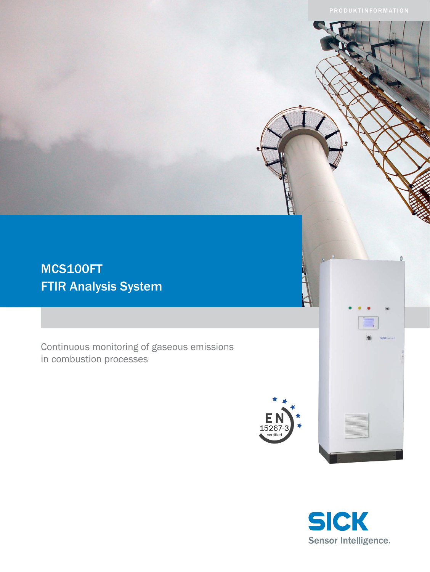# MCS100FT FTIR Analysis System

Continuous monitoring of gaseous emissions in combustion processes





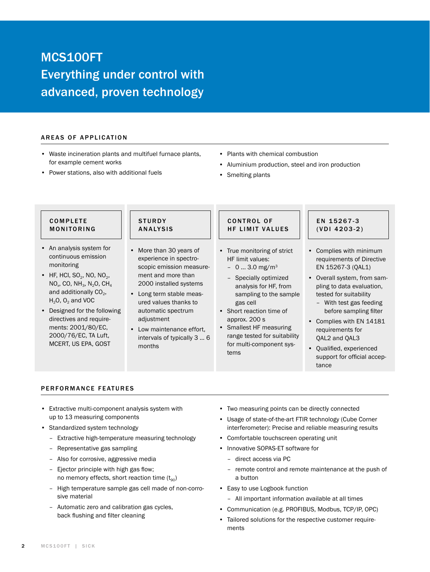# MCS100FT Everything under control with advanced, proven technology

### AREAS OF APPLICATION

- Waste incineration plants and multifuel furnace plants, for example cement works
- Power stations, also with additional fuels
- Plants with chemical combustion
- Aluminium production, steel and iron production
- Smelting plants

## **COMPLETE MONITORING**

- An analysis system for continuous emission monitoring
- HF, HCI,  $SO<sub>2</sub>$ , NO, NO<sub>2</sub>,  $NO<sub>x</sub>$ , CO, NH<sub>3</sub>, N<sub>2</sub>O, CH<sub>4</sub> and additionally  $CO<sub>2</sub>$ ,  $H_2O$ ,  $O_2$  and VOC
- Designed for the following directives and requirements: 2001/80/EC, 2000/76/EC, TA Luft, MCERT, US EPA, GOST

### **STURDY ANALYSIS**

- More than 30 years of experience in spectroscopic emission measurement and more than 2000 installed systems
- Long term stable measured values thanks to automatic spectrum adjustment
- Low maintenance effort, intervals of typically 3 … 6 months

## CONTROL OF HF LIMIT VALUES

- True monitoring of strict HF limit values:
	- $-0$  ... 3.0 mg/m<sup>3</sup>
	- Specially optimized analysis for HF, from sampling to the sample gas cell
- Short reaction time of approx. 200 s
- Smallest HF measuring range tested for suitability for multi-component systems

## EN 15267-3  $(VDI 4203-2)$

- Complies with minimum requirements of Directive EN 15267-3 (QAL1)
- Overall system, from sampling to data evaluation, tested for suitability
	- With test gas feeding before sampling filter
- Complies with EN 14181 requirements for QAL2 and QAL3
- Qualified, experienced support for official acceptance

## PERFORMANCE FEATURES

- Extractive multi-component analysis system with up to 13 measuring components
- Standardized system technology
	- Extractive high-temperature measuring technology
	- Representative gas sampling
	- Also for corrosive, aggressive media
	- Ejector principle with high gas flow; no memory effects, short reaction time  $(t_{90})$
	- High temperature sample gas cell made of non-corrosive material
	- Automatic zero and calibration gas cycles, back flushing and filter cleaning
- Two measuring points can be directly connected
- Usage of state-of-the-art FTIR technology (Cube Corner interferometer): Precise and reliable measuring results
- Comfortable touchscreen operating unit
- Innovative SOPAS-ET software for
	- direct access via PC
	- remote control and remote maintenance at the push of a button
- Easy to use Logbook function
	- All important information available at all times
- Communication (e.g. PROFIBUS, Modbus, TCP/IP, OPC)
- Tailored solutions for the respective customer requirements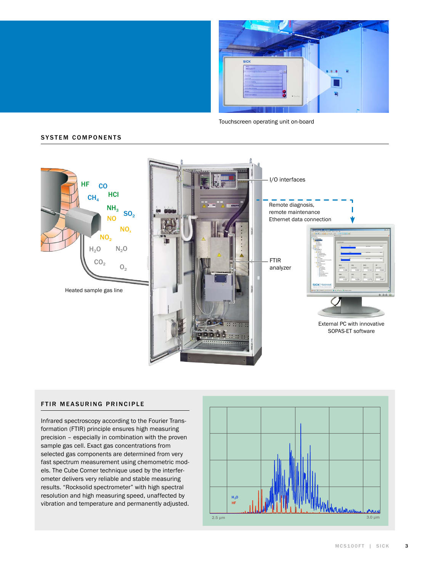

Touchscreen operating unit on-board

### **SYSTEM COMPONENTS**



#### FTIR MEASURING PRINCIPLE

Infrared spectroscopy according to the Fourier Transformation (FTIR) principle ensures high measuring precision – especially in combination with the proven sample gas cell. Exact gas concentrations from selected gas components are determined from very fast spectrum measurement using chemometric models. The Cube Corner technique used by the interferometer delivers very reliable and stable measuring results. "Rocksolid spectrometer" with high spectral resolution and high measuring speed, unaffected by vibration and temperature and permanently adjusted.